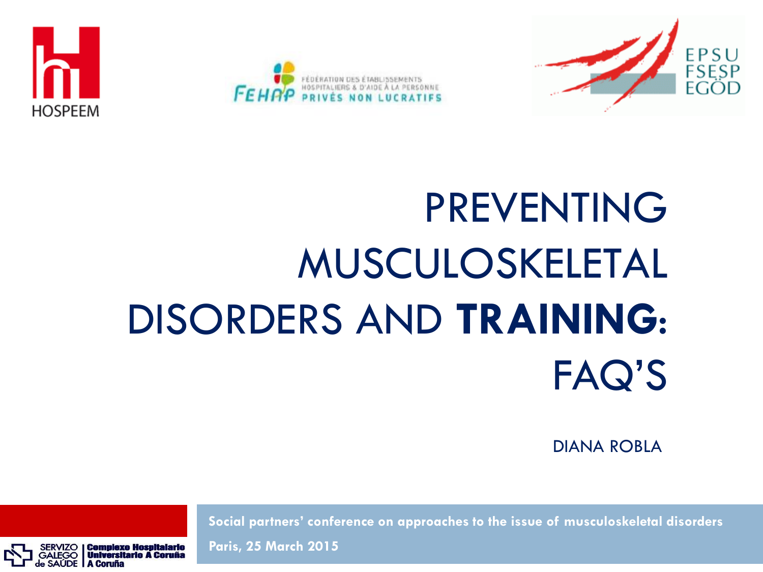





# PREVENTING MUSCULOSKELETAL DISORDERS AND **TRAINING**: FAQ'S

DIANA ROBLA

**Social partners' conference on approaches to the issue of musculoskeletal disorders**

**Universitario A Coruña** A Coruña

**Paris, 25 March 2015**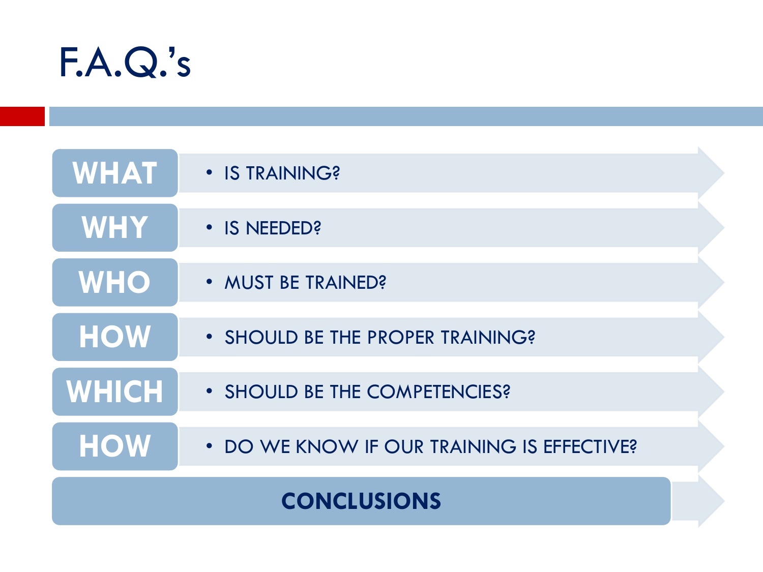

| <b>CONCLUSIONS</b> |                                            |  |
|--------------------|--------------------------------------------|--|
| <b>HOW</b>         | • DO WE KNOW IF OUR TRAINING IS EFFECTIVE? |  |
| <b>WHICH</b>       | • SHOULD BE THE COMPETENCIES?              |  |
| <b>HOW</b>         | • SHOULD BE THE PROPER TRAINING?           |  |
| <b>WHO</b>         | • MUST BE TRAINED?                         |  |
| WHY                | • IS NEEDED?                               |  |
| <b>WHAT</b>        | • IS TRAINING?                             |  |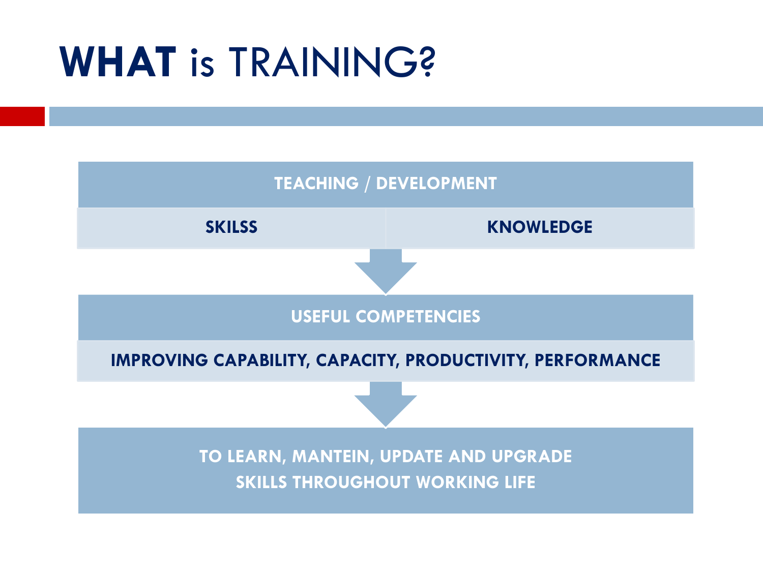## **WHAT** is TRAINING?

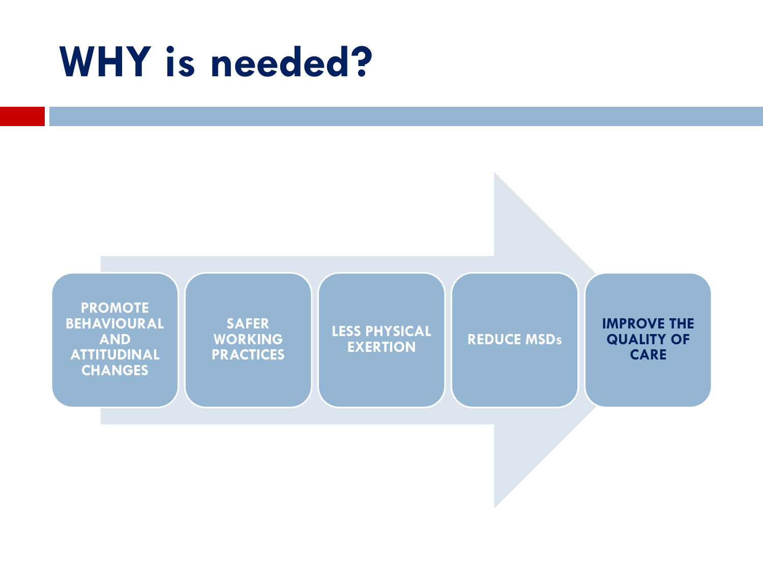## **WHY is needed?**

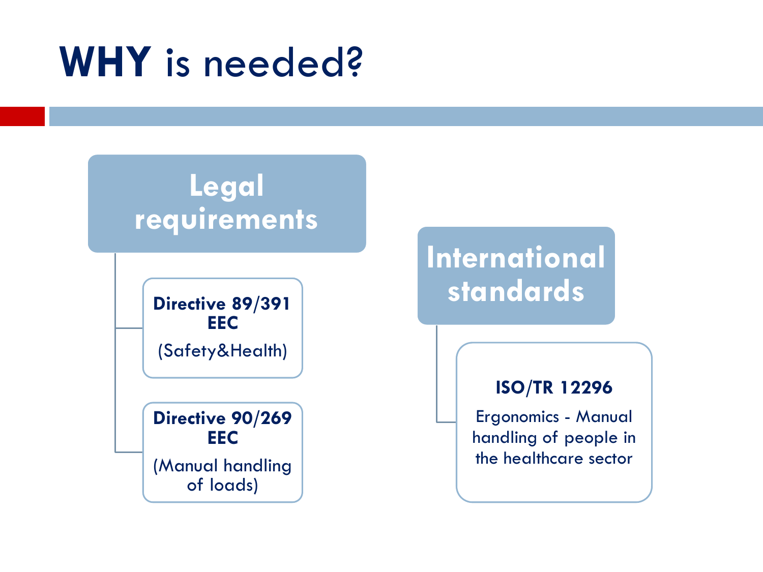## **WHY** is needed?

### **Legal requirements**

**Directive 89/391 EEC** (Safety&Health)

**Directive 90/269 EEC** (Manual handling of loads)

### **International standards**

#### **ISO/TR 12296**

Ergonomics - Manual handling of people in the healthcare sector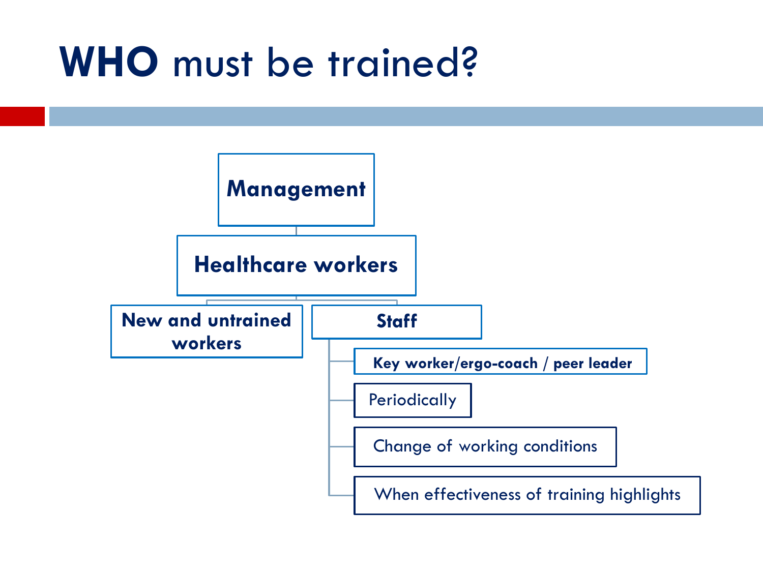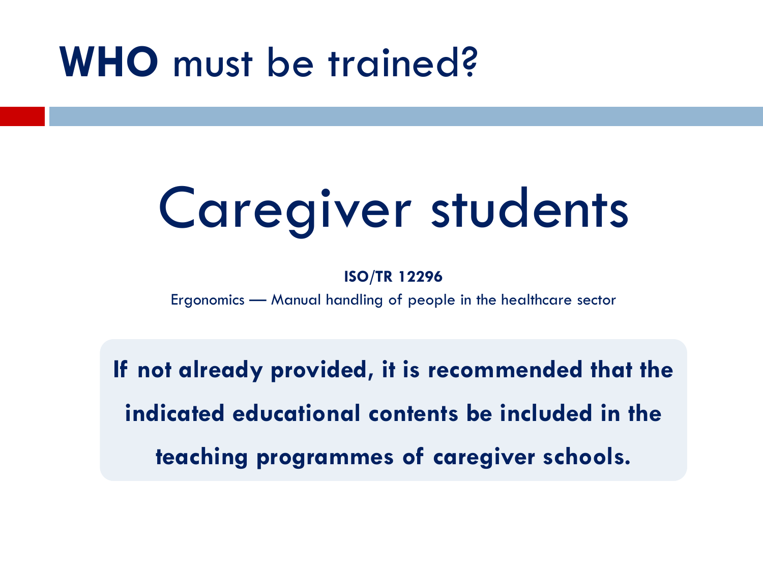# Caregiver students

#### **ISO/TR 12296**

Ergonomics — Manual handling of people in the healthcare sector

**If not already provided, it is recommended that the indicated educational contents be included in the teaching programmes of caregiver schools.**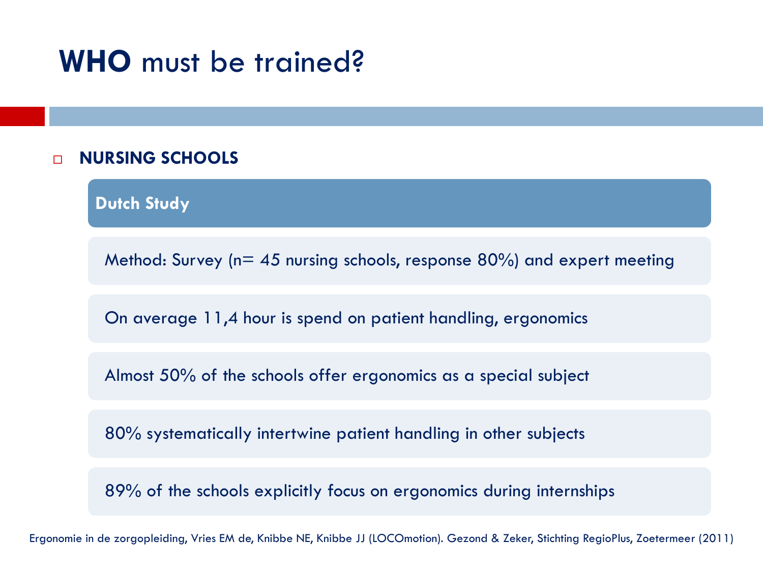#### **NURSING SCHOOLS**

**Dutch Study**

Method: Survey ( $n= 45$  nursing schools, response 80%) and expert meeting

On average 11,4 hour is spend on patient handling, ergonomics

Almost 50% of the schools offer ergonomics as a special subject

80% systematically intertwine patient handling in other subjects

89% of the schools explicitly focus on ergonomics during internships

Ergonomie in de zorgopleiding, Vries EM de, Knibbe NE, Knibbe JJ (LOCOmotion). Gezond & Zeker, Stichting RegioPlus, Zoetermeer (2011)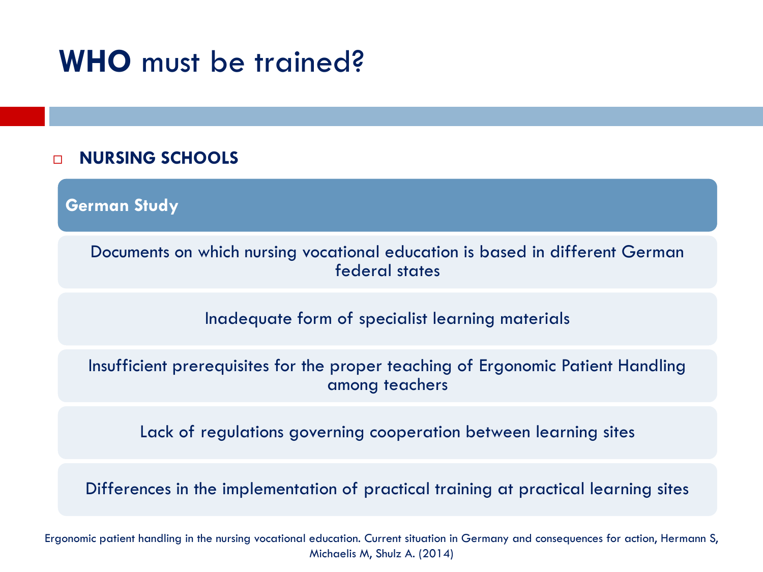#### **NURSING SCHOOLS**

**German Study**

Documents on which nursing vocational education is based in different German federal states

Inadequate form of specialist learning materials

Insufficient prerequisites for the proper teaching of Ergonomic Patient Handling among teachers

Lack of regulations governing cooperation between learning sites

Differences in the implementation of practical training at practical learning sites

Ergonomic patient handling in the nursing vocational education. Current situation in Germany and consequences for action, Hermann S, Michaelis M, Shulz A. (2014)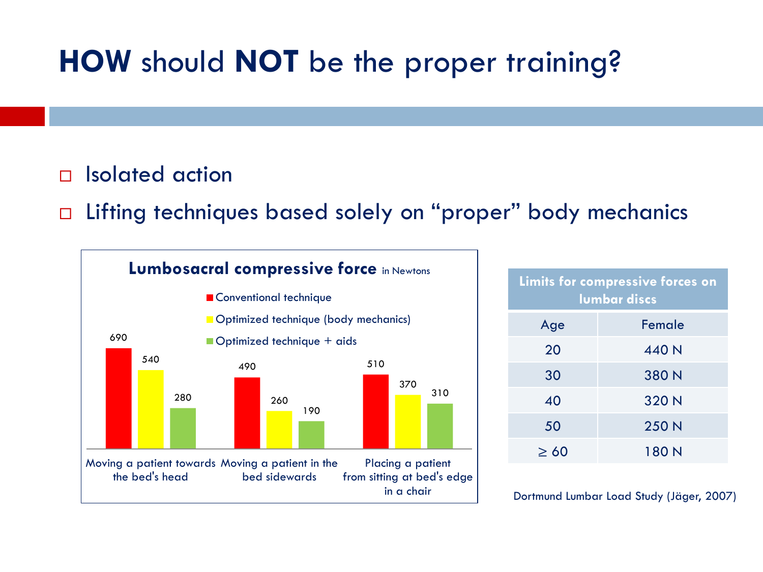### **HOW** should **NOT** be the proper training?

#### □ Isolated action

□ Lifting techniques based solely on "proper" body mechanics



| Limits for compressive forces on<br><b>lumbar discs</b> |        |  |  |
|---------------------------------------------------------|--------|--|--|
| Age                                                     | Female |  |  |
| 20                                                      | 440 N  |  |  |
| 30                                                      | 380 N  |  |  |
| 40                                                      | 320 N  |  |  |
| 50                                                      | 250 N  |  |  |
| $\geq 60$                                               | 180 N  |  |  |

Dortmund Lumbar Load Study (Jäger, 2007)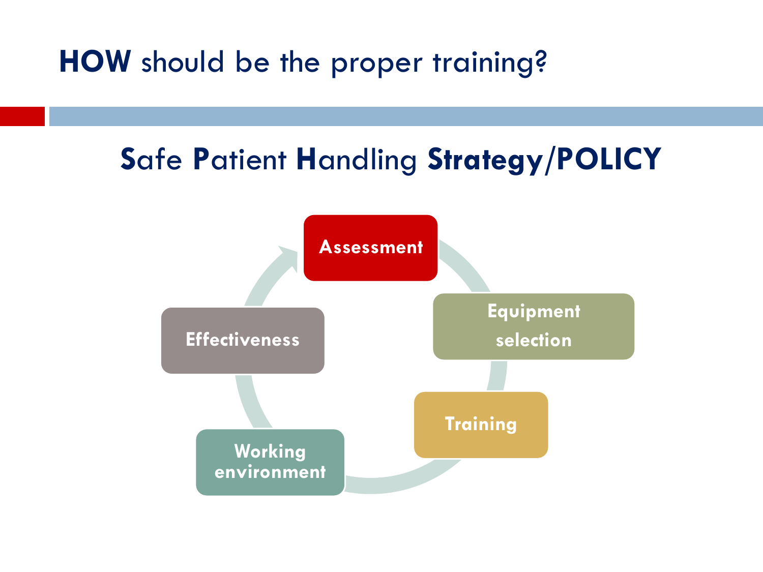**HOW** should be the proper training?

### **S**afe **P**atient **H**andling **Strategy/POLICY**

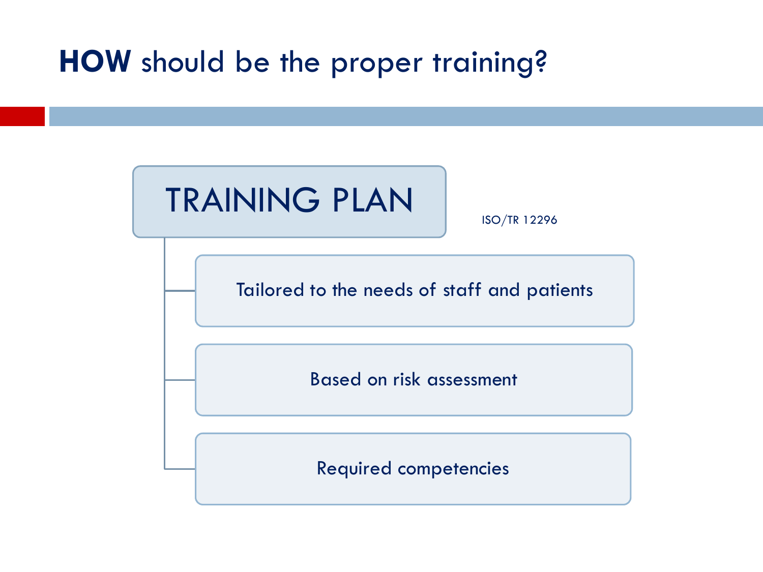### **HOW** should be the proper training?

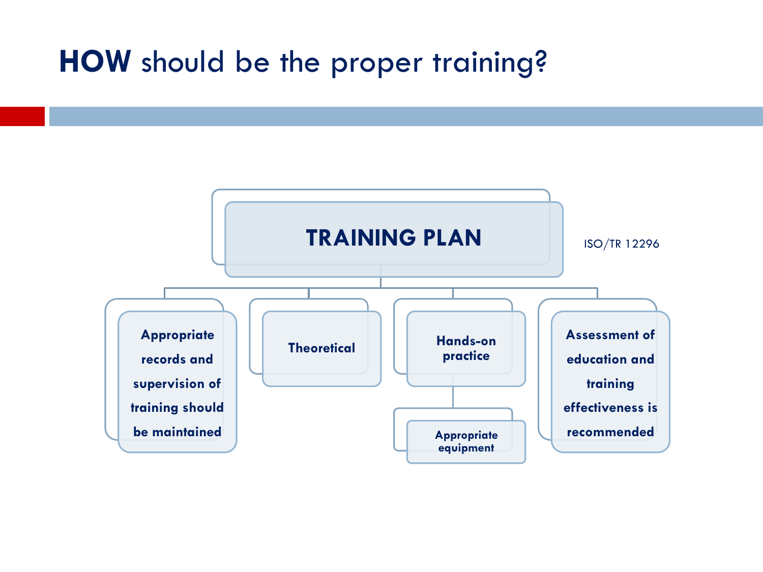### **HOW** should be the proper training?

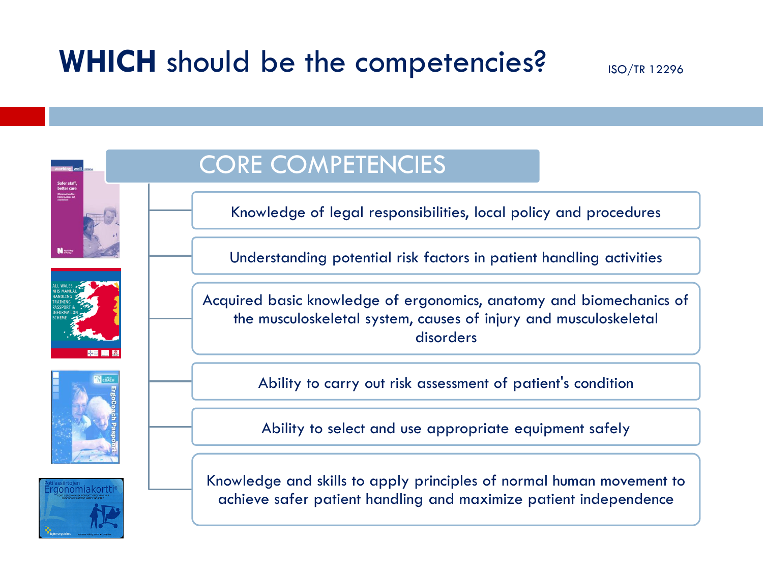### WHICH should be the competencies? ISO/TR 12296









### CORE COMPETENCIES

Knowledge of legal responsibilities, local policy and procedures

Understanding potential risk factors in patient handling activities

Acquired basic knowledge of ergonomics, anatomy and biomechanics of the musculoskeletal system, causes of injury and musculoskeletal disorders

Ability to carry out risk assessment of patient's condition

Ability to select and use appropriate equipment safely

Knowledge and skills to apply principles of normal human movement to achieve safer patient handling and maximize patient independence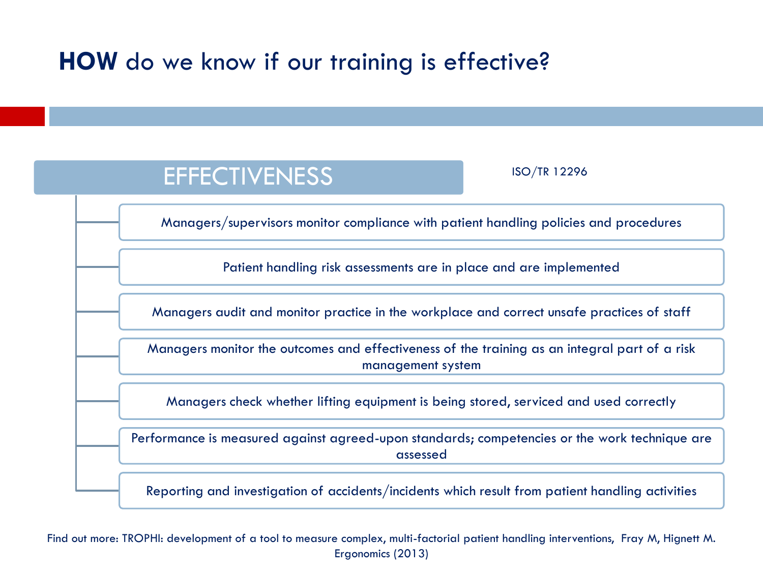### **HOW** do we know if our training is effective?

### **EFFECTIVENESS**

ISO/TR 12296

Managers/supervisors monitor compliance with patient handling policies and procedures

Patient handling risk assessments are in place and are implemented

Managers audit and monitor practice in the workplace and correct unsafe practices of staff

Managers monitor the outcomes and effectiveness of the training as an integral part of a risk management system

Managers check whether lifting equipment is being stored, serviced and used correctly

Performance is measured against agreed-upon standards; competencies or the work technique are assessed

Reporting and investigation of accidents/incidents which result from patient handling activities

Find out more: TROPHI: development of a tool to measure complex, multi-factorial patient handling interventions, Fray M, Hignett M. Ergonomics (2013)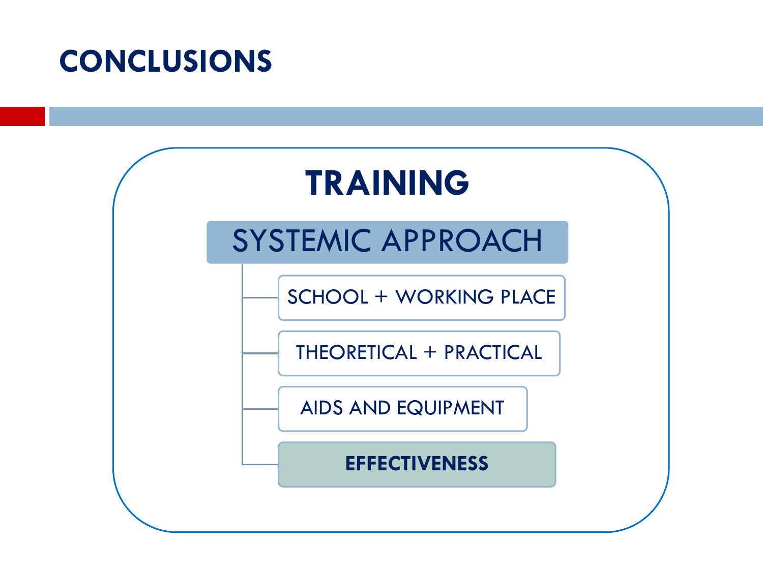### **CONCLUSIONS**